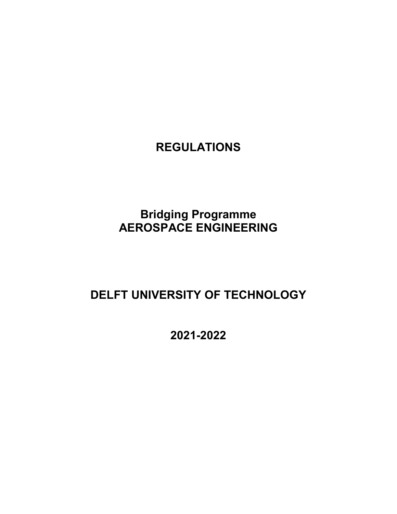# **REGULATIONS**

# **Bridging Programme AEROSPACE ENGINEERING**

# **DELFT UNIVERSITY OF TECHNOLOGY**

**2021-2022**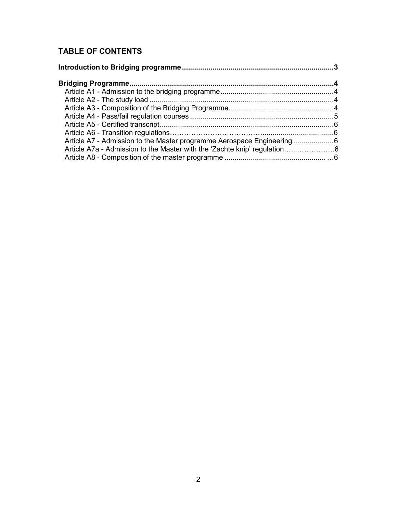# **TABLE OF CONTENTS**

| Article A7 - Admission to the Master programme Aerospace Engineering 6 |  |
|------------------------------------------------------------------------|--|
|                                                                        |  |
|                                                                        |  |
|                                                                        |  |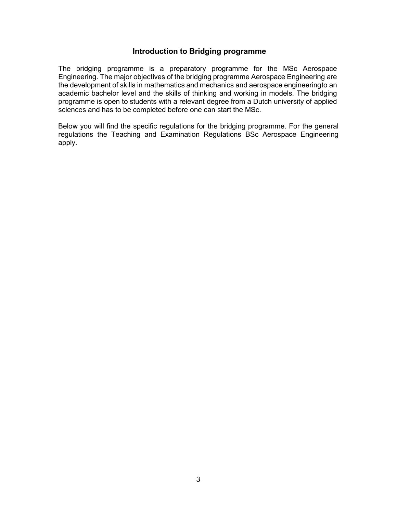#### **Introduction to Bridging programme**

<span id="page-2-0"></span>The bridging programme is a preparatory programme for the MSc Aerospace Engineering. The major objectives of the bridging programme Aerospace Engineering are the development of skills in mathematics and mechanics and aerospace engineeringto an academic bachelor level and the skills of thinking and working in models. The bridging programme is open to students with a relevant degree from a Dutch university of applied sciences and has to be completed before one can start the MSc.

<span id="page-2-1"></span>Below you will find the specific regulations for the bridging programme. For the general regulations the Teaching and Examination Regulations BSc Aerospace Engineering apply.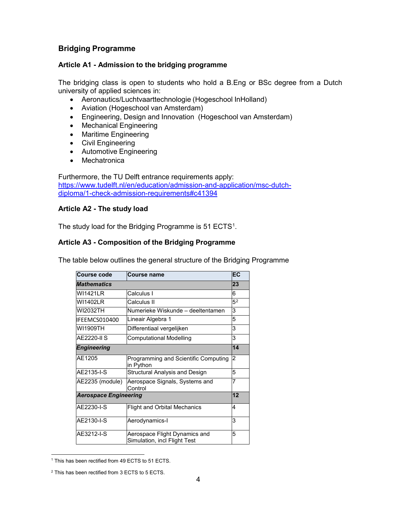# **Bridging Programme**

### <span id="page-3-0"></span>**Article A1 - Admission to the bridging programme**

The bridging class is open to students who hold a B.Eng or BSc degree from a Dutch university of applied sciences in:

- Aeronautics/Luchtvaarttechnologie (Hogeschool InHolland)
- Aviation (Hogeschool van Amsterdam)
- Engineering, Design and Innovation (Hogeschool van Amsterdam)
- Mechanical Engineering
- Maritime Engineering
- Civil Engineering
- Automotive Engineering
- Mechatronica

Furthermore, the TU Delft entrance requirements apply: [https://www.tudelft.nl/en/education/admission-and-application/msc-dutch](https://www.tudelft.nl/en/education/admission-and-application/msc-dutch-diploma/1-check-admission-requirements#c41394)[diploma/1-check-admission-requirements#c41394](https://www.tudelft.nl/en/education/admission-and-application/msc-dutch-diploma/1-check-admission-requirements#c41394)

### <span id="page-3-1"></span>**Article A2 - The study load**

The study load for the Bridging Programme is 5[1](#page-3-3) ECTS $^{\rm 1}$ .

## <span id="page-3-2"></span>**Article A3 - Composition of the Bridging Programme**

The table below outlines the general structure of the Bridging Programme

| <b>Course code</b>           | <b>Course name</b>                                            |                |  |  |
|------------------------------|---------------------------------------------------------------|----------------|--|--|
| <b>Mathematics</b>           |                                                               |                |  |  |
| WI1421I R                    | Calculus I                                                    | 6              |  |  |
| WI1402LR                     | Calculus II                                                   | 5 <sup>2</sup> |  |  |
| WI2032TH                     | Numerieke Wiskunde – deeltentamen                             | 3              |  |  |
| IFEEMCS010400                | Lineair Algebra 1                                             | 5              |  |  |
| WI1909TH                     | Differentiaal vergelijken                                     | 3              |  |  |
| <b>AE2220-II S</b>           | Computational Modelling                                       | 3              |  |  |
| <b>Engineering</b>           |                                                               | 14             |  |  |
| AE1205                       | Programming and Scientific Computing<br>in Python             | $\overline{2}$ |  |  |
| AE2135-I-S                   | Structural Analysis and Design                                | 5              |  |  |
| AE2235 (module)              | Aerospace Signals, Systems and<br>Control                     |                |  |  |
| <b>Aerospace Engineering</b> |                                                               | 12             |  |  |
| AE2230-I-S                   | <b>Flight and Orbital Mechanics</b>                           |                |  |  |
| AE2130-I-S                   | Aerodynamics-I                                                |                |  |  |
| AE3212-I-S                   | Aerospace Flight Dynamics and<br>Simulation, incl Flight Test |                |  |  |

<span id="page-3-3"></span><sup>&</sup>lt;sup>1</sup> This has been rectified from 49 ECTS to 51 ECTS.

<span id="page-3-4"></span><sup>&</sup>lt;sup>2</sup> This has been rectified from 3 ECTS to 5 ECTS.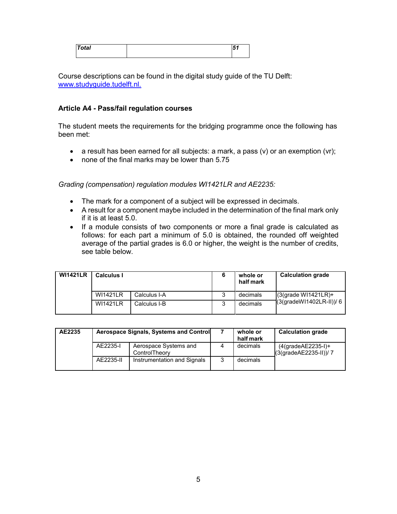| <b>Total</b> | м<br>, , |
|--------------|----------|
|              |          |

Course descriptions can be found in the digital study guide of the TU Delft: [www.studyguide.tudelft.nl.](http://www.studyguide.tudelft.nl./)

#### <span id="page-4-0"></span>**Article A4 - Pass/fail regulation courses**

The student meets the requirements for the bridging programme once the following has been met:

- a result has been earned for all subjects: a mark, a pass (v) or an exemption (vr);
- none of the final marks may be lower than 5.75

*Grading (compensation) regulation modules WI1421LR and AE2235:*

- The mark for a component of a subject will be expressed in decimals.
- A result for a component maybe included in the determination of the final mark only if it is at least 5.0.
- If a module consists of two components or more a final grade is calculated as follows: for each part a minimum of 5.0 is obtained, the rounded off weighted average of the partial grades is 6.0 or higher, the weight is the number of credits, see table below.

| <b>WI1421LR</b> | <b>Calculus I</b> |              |   | whole or<br>half mark | <b>Calculation grade</b>                           |
|-----------------|-------------------|--------------|---|-----------------------|----------------------------------------------------|
|                 | <b>WI1421LR</b>   | Calculus I-A | 3 | decimals              | $(3$ (grade WI1421LR)+<br>(3(gradeWI1402LR-II))/ 6 |
|                 | <b>WI1421LR</b>   | Calculus I-B |   | decimals              |                                                    |

| AE2235 | Aerospace Signals, Systems and Control |                                        |   | whole or<br>half mark | <b>Calculation grade</b>                          |
|--------|----------------------------------------|----------------------------------------|---|-----------------------|---------------------------------------------------|
|        | AE2235-I                               | Aerospace Systems and<br>ControlTheory | Λ | decimals              | $(4$ (grade $AE2235-I)+$<br>(3(gradeAE2235-II))/7 |
|        | AE2235-II                              | Instrumentation and Signals            |   | decimals              |                                                   |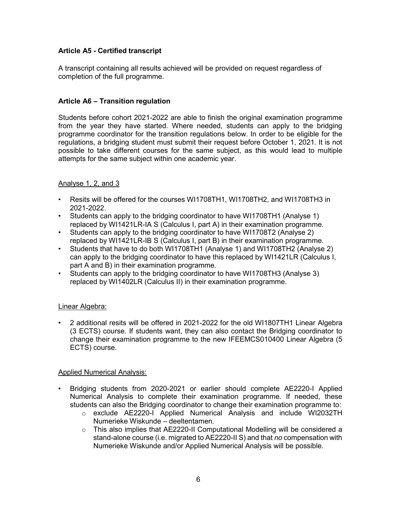### <span id="page-5-0"></span>**Article A5 - Certified transcript**

A transcript containing all results achieved will be provided on request regardless of completion of the full programme.

#### **Article A6 – Transition regulation**

Students before cohort 2021-2022 are able to finish the original examination programme from the year they have started. Where needed, students can apply to the bridging programme coordinator for the transition regulations below. In order to be eligible for the regulations, a bridging student must submit their request before October 1, 2021. It is not possible to take different courses for the same subject, as this would lead to multiple attempts for the same subject within one academic year.

#### Analyse 1, 2, and 3

- Resits will be offered for the courses WI1708TH1, WI1708TH2, and WI1708TH3 in 2021-2022.
- Students can apply to the bridging coordinator to have WI1708TH1 (Analyse 1) replaced by WI1421LR-IA S (Calculus I, part A) in their examination programme.
- Students can apply to the bridging coordinator to have WI1708T2 (Analyse 2) replaced by WI1421LR-IB S (Calculus I, part B) in their examination programme.
- Students that have to do both WI1708TH1 (Analyse 1) and WI1708TH2 (Analyse 2) can apply to the bridging coordinator to have this replaced by WI1421LR (Calculus I, part A and B) in their examination programme.
- Students can apply to the bridging coordinator to have WI1708TH3 (Analyse 3) replaced by WI1402LR (Calculus II) in their examination programme.

#### Linear Algebra:

• 2 additional resits will be offered in 2021-2022 for the old WI1807TH1 Linear Algebra (3 ECTS) course. If students want, they can also contact the Bridging coordinator to change their examination programme to the new IFEEMCS010400 Linear Algebra (5 ECTS) course.

#### Applied Numerical Analysis:

- Bridging students from 2020-2021 or earlier should complete AE2220-I Applied Numerical Analysis to complete their examination programme. If needed, these students can also the Bridging coordinator to change their examination programme to:
	- o exclude AE2220-I Applied Numerical Analysis and include WI2032TH Numerieke Wiskunde – deeltentamen.
	- $\circ$  This also implies that AE2220-II Computational Modelling will be considered a stand-alone course (i.e. migrated to AE2220-II S) and that *no* compensation with Numerieke Wiskunde and/or Applied Numerical Analysis will be possible.